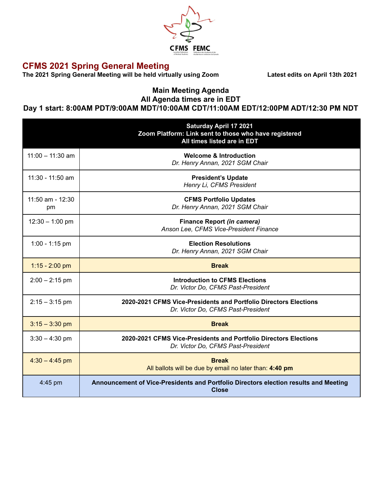

## **CFMS 2021 Spring General Meeting**

**The 2021 Spring General Meeting will be held virtually using Zoom Latest edits on April 13th 2021**

## **Main Meeting Agenda All Agenda times are in EDT**

## **Day 1 start: 8:00AM PDT/9:00AM MDT/10:00AM CDT/11:00AM EDT/12:00PM ADT/12:30 PM NDT**

|                        | <b>Saturday April 17 2021</b><br>Zoom Platform: Link sent to those who have registered<br>All times listed are in EDT |
|------------------------|-----------------------------------------------------------------------------------------------------------------------|
| $11:00 - 11:30$ am     | <b>Welcome &amp; Introduction</b><br>Dr. Henry Annan, 2021 SGM Chair                                                  |
| 11:30 - 11:50 am       | <b>President's Update</b><br>Henry Li, CFMS President                                                                 |
| 11:50 am - 12:30<br>pm | <b>CFMS Portfolio Updates</b><br>Dr. Henry Annan, 2021 SGM Chair                                                      |
| $12:30 - 1:00$ pm      | <b>Finance Report (in camera)</b><br>Anson Lee, CFMS Vice-President Finance                                           |
| $1:00 - 1:15$ pm       | <b>Election Resolutions</b><br>Dr. Henry Annan, 2021 SGM Chair                                                        |
| $1:15 - 2:00$ pm       | <b>Break</b>                                                                                                          |
| $2:00 - 2:15$ pm       | <b>Introduction to CFMS Elections</b><br>Dr. Victor Do, CFMS Past-President                                           |
| $2:15 - 3:15$ pm       | 2020-2021 CFMS Vice-Presidents and Portfolio Directors Elections<br>Dr. Victor Do, CFMS Past-President                |
| $3:15 - 3:30$ pm       | <b>Break</b>                                                                                                          |
| $3:30 - 4:30$ pm       | 2020-2021 CFMS Vice-Presidents and Portfolio Directors Elections<br>Dr. Victor Do, CFMS Past-President                |
| $4:30 - 4:45$ pm       | <b>Break</b><br>All ballots will be due by email no later than: 4:40 pm                                               |
| 4:45 pm                | Announcement of Vice-Presidents and Portfolio Directors election results and Meeting<br><b>Close</b>                  |